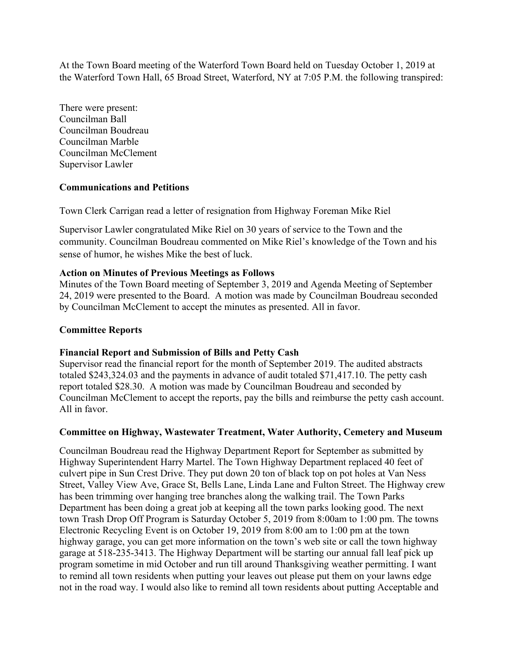At the Town Board meeting of the Waterford Town Board held on Tuesday October 1, 2019 at the Waterford Town Hall, 65 Broad Street, Waterford, NY at 7:05 P.M. the following transpired:

There were present: Councilman Ball Councilman Boudreau Councilman Marble Councilman McClement Supervisor Lawler

# **Communications and Petitions**

Town Clerk Carrigan read a letter of resignation from Highway Foreman Mike Riel

Supervisor Lawler congratulated Mike Riel on 30 years of service to the Town and the community. Councilman Boudreau commented on Mike Riel's knowledge of the Town and his sense of humor, he wishes Mike the best of luck.

## **Action on Minutes of Previous Meetings as Follows**

Minutes of the Town Board meeting of September 3, 2019 and Agenda Meeting of September 24, 2019 were presented to the Board. A motion was made by Councilman Boudreau seconded by Councilman McClement to accept the minutes as presented. All in favor.

# **Committee Reports**

## **Financial Report and Submission of Bills and Petty Cash**

Supervisor read the financial report for the month of September 2019. The audited abstracts totaled \$243,324.03 and the payments in advance of audit totaled \$71,417.10. The petty cash report totaled \$28.30. A motion was made by Councilman Boudreau and seconded by Councilman McClement to accept the reports, pay the bills and reimburse the petty cash account. All in favor.

## **Committee on Highway, Wastewater Treatment, Water Authority, Cemetery and Museum**

Councilman Boudreau read the Highway Department Report for September as submitted by Highway Superintendent Harry Martel. The Town Highway Department replaced 40 feet of culvert pipe in Sun Crest Drive. They put down 20 ton of black top on pot holes at Van Ness Street, Valley View Ave, Grace St, Bells Lane, Linda Lane and Fulton Street. The Highway crew has been trimming over hanging tree branches along the walking trail. The Town Parks Department has been doing a great job at keeping all the town parks looking good. The next town Trash Drop Off Program is Saturday October 5, 2019 from 8:00am to 1:00 pm. The towns Electronic Recycling Event is on October 19, 2019 from 8:00 am to 1:00 pm at the town highway garage, you can get more information on the town's web site or call the town highway garage at 518-235-3413. The Highway Department will be starting our annual fall leaf pick up program sometime in mid October and run till around Thanksgiving weather permitting. I want to remind all town residents when putting your leaves out please put them on your lawns edge not in the road way. I would also like to remind all town residents about putting Acceptable and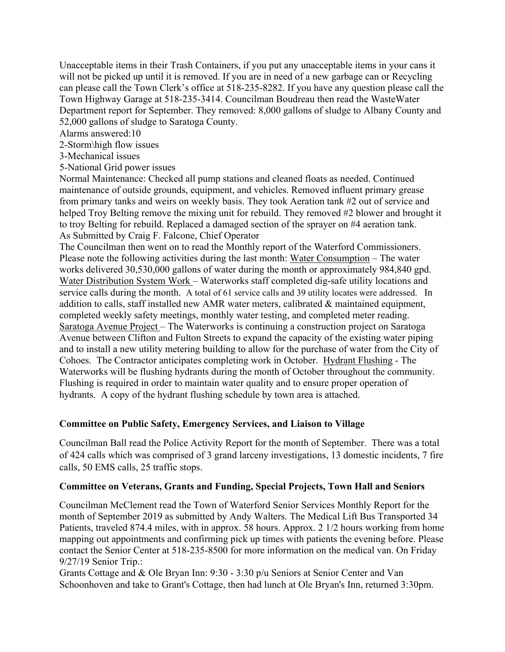Unacceptable items in their Trash Containers, if you put any unacceptable items in your cans it will not be picked up until it is removed. If you are in need of a new garbage can or Recycling can please call the Town Clerk's office at 518-235-8282. If you have any question please call the Town Highway Garage at 518-235-3414. Councilman Boudreau then read the WasteWater Department report for September. They removed: 8,000 gallons of sludge to Albany County and 52,000 gallons of sludge to Saratoga County.

Alarms answered:10

- 2-Storm\high flow issues
- 3-Mechanical issues
- 5-National Grid power issues

Normal Maintenance: Checked all pump stations and cleaned floats as needed. Continued maintenance of outside grounds, equipment, and vehicles. Removed influent primary grease from primary tanks and weirs on weekly basis. They took Aeration tank #2 out of service and helped Troy Belting remove the mixing unit for rebuild. They removed #2 blower and brought it to troy Belting for rebuild. Replaced a damaged section of the sprayer on #4 aeration tank. As Submitted by Craig F. Falcone, Chief Operator

The Councilman then went on to read the Monthly report of the Waterford Commissioners. Please note the following activities during the last month: Water Consumption – The water works delivered 30,530,000 gallons of water during the month or approximately 984,840 gpd. Water Distribution System Work – Waterworks staff completed dig-safe utility locations and service calls during the month. A total of 61 service calls and 39 utility locates were addressed. In addition to calls, staff installed new AMR water meters, calibrated & maintained equipment, completed weekly safety meetings, monthly water testing, and completed meter reading. Saratoga Avenue Project – The Waterworks is continuing a construction project on Saratoga Avenue between Clifton and Fulton Streets to expand the capacity of the existing water piping and to install a new utility metering building to allow for the purchase of water from the City of Cohoes. The Contractor anticipates completing work in October. Hydrant Flushing - The Waterworks will be flushing hydrants during the month of October throughout the community. Flushing is required in order to maintain water quality and to ensure proper operation of hydrants. A copy of the hydrant flushing schedule by town area is attached.

# **Committee on Public Safety, Emergency Services, and Liaison to Village**

Councilman Ball read the Police Activity Report for the month of September. There was a total of 424 calls which was comprised of 3 grand larceny investigations, 13 domestic incidents, 7 fire calls, 50 EMS calls, 25 traffic stops.

## **Committee on Veterans, Grants and Funding, Special Projects, Town Hall and Seniors**

Councilman McClement read the Town of Waterford Senior Services Monthly Report for the month of September 2019 as submitted by Andy Walters. The Medical Lift Bus Transported 34 Patients, traveled 874.4 miles, with in approx. 58 hours. Approx. 2 1/2 hours working from home mapping out appointments and confirming pick up times with patients the evening before. Please contact the Senior Center at 518-235-8500 for more information on the medical van. On Friday 9/27/19 Senior Trip.:

Grants Cottage and & Ole Bryan Inn: 9:30 - 3:30 p/u Seniors at Senior Center and Van Schoonhoven and take to Grant's Cottage, then had lunch at Ole Bryan's Inn, returned 3:30pm.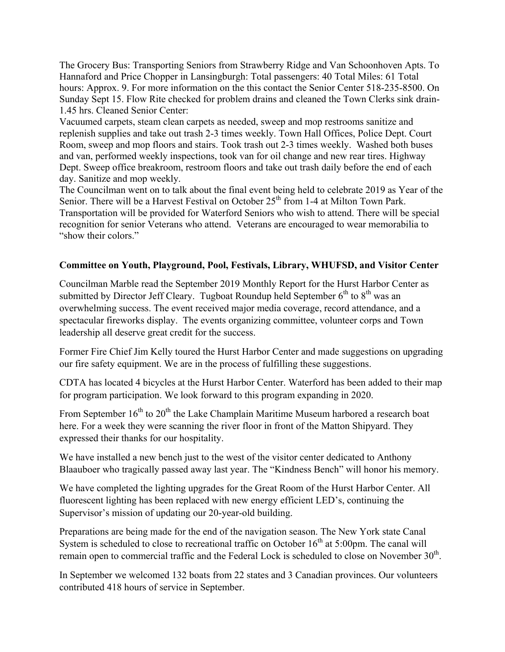The Grocery Bus: Transporting Seniors from Strawberry Ridge and Van Schoonhoven Apts. To Hannaford and Price Chopper in Lansingburgh: Total passengers: 40 Total Miles: 61 Total hours: Approx. 9. For more information on the this contact the Senior Center 518-235-8500. On Sunday Sept 15. Flow Rite checked for problem drains and cleaned the Town Clerks sink drain-1.45 hrs. Cleaned Senior Center:

Vacuumed carpets, steam clean carpets as needed, sweep and mop restrooms sanitize and replenish supplies and take out trash 2-3 times weekly. Town Hall Offices, Police Dept. Court Room, sweep and mop floors and stairs. Took trash out 2-3 times weekly. Washed both buses and van, performed weekly inspections, took van for oil change and new rear tires. Highway Dept. Sweep office breakroom, restroom floors and take out trash daily before the end of each day. Sanitize and mop weekly.

The Councilman went on to talk about the final event being held to celebrate 2019 as Year of the Senior. There will be a Harvest Festival on October  $25<sup>th</sup>$  from 1-4 at Milton Town Park. Transportation will be provided for Waterford Seniors who wish to attend. There will be special recognition for senior Veterans who attend. Veterans are encouraged to wear memorabilia to "show their colors."

## **Committee on Youth, Playground, Pool, Festivals, Library, WHUFSD, and Visitor Center**

Councilman Marble read the September 2019 Monthly Report for the Hurst Harbor Center as submitted by Director Jeff Cleary. Tugboat Roundup held September  $6^{th}$  to  $8^{th}$  was an overwhelming success. The event received major media coverage, record attendance, and a spectacular fireworks display. The events organizing committee, volunteer corps and Town leadership all deserve great credit for the success.

Former Fire Chief Jim Kelly toured the Hurst Harbor Center and made suggestions on upgrading our fire safety equipment. We are in the process of fulfilling these suggestions.

CDTA has located 4 bicycles at the Hurst Harbor Center. Waterford has been added to their map for program participation. We look forward to this program expanding in 2020.

From September  $16<sup>th</sup>$  to  $20<sup>th</sup>$  the Lake Champlain Maritime Museum harbored a research boat here. For a week they were scanning the river floor in front of the Matton Shipyard. They expressed their thanks for our hospitality.

We have installed a new bench just to the west of the visitor center dedicated to Anthony Blaauboer who tragically passed away last year. The "Kindness Bench" will honor his memory.

We have completed the lighting upgrades for the Great Room of the Hurst Harbor Center. All fluorescent lighting has been replaced with new energy efficient LED's, continuing the Supervisor's mission of updating our 20-year-old building.

Preparations are being made for the end of the navigation season. The New York state Canal System is scheduled to close to recreational traffic on October  $16<sup>th</sup>$  at 5:00pm. The canal will remain open to commercial traffic and the Federal Lock is scheduled to close on November  $30<sup>th</sup>$ .

In September we welcomed 132 boats from 22 states and 3 Canadian provinces. Our volunteers contributed 418 hours of service in September.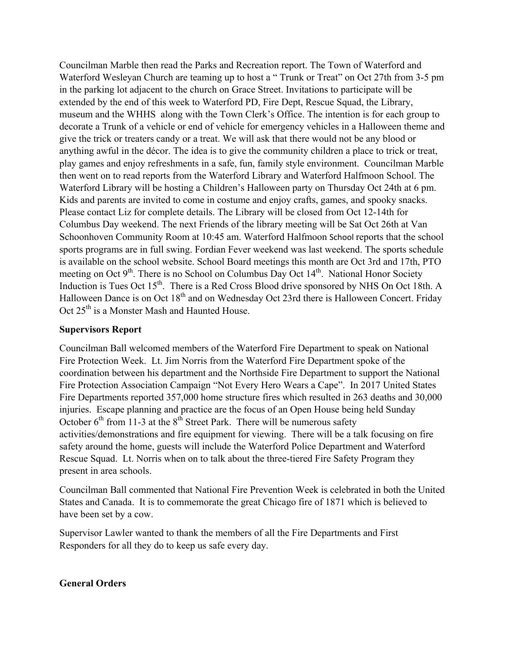Councilman Marble then read the Parks and Recreation report. The Town of Waterford and Waterford Wesleyan Church are teaming up to host a " Trunk or Treat" on Oct 27th from 3-5 pm in the parking lot adjacent to the church on Grace Street. Invitations to participate will be extended by the end of this week to Waterford PD, Fire Dept, Rescue Squad, the Library, museum and the WHHS along with the Town Clerk's Office. The intention is for each group to decorate a Trunk of a vehicle or end of vehicle for emergency vehicles in a Halloween theme and give the trick or treaters candy or a treat. We will ask that there would not be any blood or anything awful in the décor. The idea is to give the community children a place to trick or treat, play games and enjoy refreshments in a safe, fun, family style environment. Councilman Marble then went on to read reports from the Waterford Library and Waterford Halfmoon School. The Waterford Library will be hosting a Children's Halloween party on Thursday Oct 24th at 6 pm. Kids and parents are invited to come in costume and enjoy crafts, games, and spooky snacks. Please contact Liz for complete details. The Library will be closed from Oct 12-14th for Columbus Day weekend. The next Friends of the library meeting will be Sat Oct 26th at Van Schoonhoven Community Room at 10:45 am. Waterford Halfmoon School reports that the school sports programs are in full swing. Fordian Fever weekend was last weekend. The sports schedule is available on the school website. School Board meetings this month are Oct 3rd and 17th, PTO meeting on Oct  $9<sup>th</sup>$ . There is no School on Columbus Day Oct  $14<sup>th</sup>$ . National Honor Society Induction is Tues Oct 15<sup>th</sup>. There is a Red Cross Blood drive sponsored by NHS On Oct 18th. A Halloween Dance is on Oct 18<sup>th</sup> and on Wednesday Oct 23rd there is Halloween Concert. Friday Oct 25<sup>th</sup> is a Monster Mash and Haunted House.

# **Supervisors Report**

Councilman Ball welcomed members of the Waterford Fire Department to speak on National Fire Protection Week. Lt. Jim Norris from the Waterford Fire Department spoke of the coordination between his department and the Northside Fire Department to support the National Fire Protection Association Campaign "Not Every Hero Wears a Cape". In 2017 United States Fire Departments reported 357,000 home structure fires which resulted in 263 deaths and 30,000 injuries. Escape planning and practice are the focus of an Open House being held Sunday October  $6<sup>th</sup>$  from 11-3 at the  $8<sup>th</sup>$  Street Park. There will be numerous safety activities/demonstrations and fire equipment for viewing. There will be a talk focusing on fire safety around the home, guests will include the Waterford Police Department and Waterford Rescue Squad. Lt. Norris when on to talk about the three-tiered Fire Safety Program they present in area schools.

Councilman Ball commented that National Fire Prevention Week is celebrated in both the United States and Canada. It is to commemorate the great Chicago fire of 1871 which is believed to have been set by a cow.

Supervisor Lawler wanted to thank the members of all the Fire Departments and First Responders for all they do to keep us safe every day.

## **General Orders**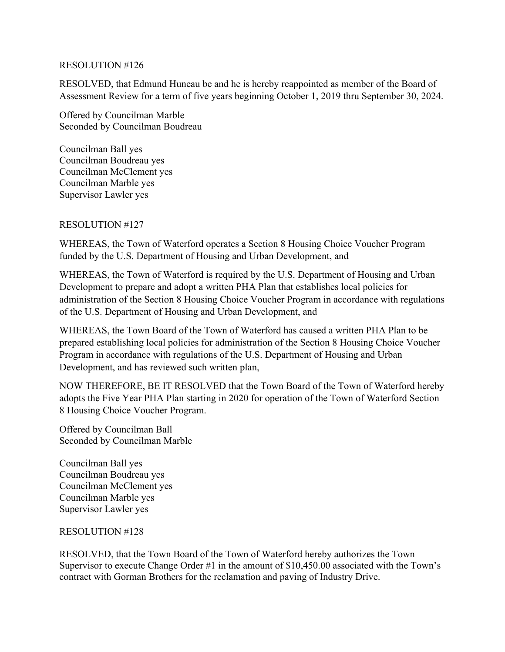## RESOLUTION #126

RESOLVED, that Edmund Huneau be and he is hereby reappointed as member of the Board of Assessment Review for a term of five years beginning October 1, 2019 thru September 30, 2024.

Offered by Councilman Marble Seconded by Councilman Boudreau

Councilman Ball yes Councilman Boudreau yes Councilman McClement yes Councilman Marble yes Supervisor Lawler yes

# RESOLUTION #127

WHEREAS, the Town of Waterford operates a Section 8 Housing Choice Voucher Program funded by the U.S. Department of Housing and Urban Development, and

WHEREAS, the Town of Waterford is required by the U.S. Department of Housing and Urban Development to prepare and adopt a written PHA Plan that establishes local policies for administration of the Section 8 Housing Choice Voucher Program in accordance with regulations of the U.S. Department of Housing and Urban Development, and

WHEREAS, the Town Board of the Town of Waterford has caused a written PHA Plan to be prepared establishing local policies for administration of the Section 8 Housing Choice Voucher Program in accordance with regulations of the U.S. Department of Housing and Urban Development, and has reviewed such written plan,

NOW THEREFORE, BE IT RESOLVED that the Town Board of the Town of Waterford hereby adopts the Five Year PHA Plan starting in 2020 for operation of the Town of Waterford Section 8 Housing Choice Voucher Program.

Offered by Councilman Ball Seconded by Councilman Marble

Councilman Ball yes Councilman Boudreau yes Councilman McClement yes Councilman Marble yes Supervisor Lawler yes

## RESOLUTION #128

RESOLVED, that the Town Board of the Town of Waterford hereby authorizes the Town Supervisor to execute Change Order #1 in the amount of \$10,450.00 associated with the Town's contract with Gorman Brothers for the reclamation and paving of Industry Drive.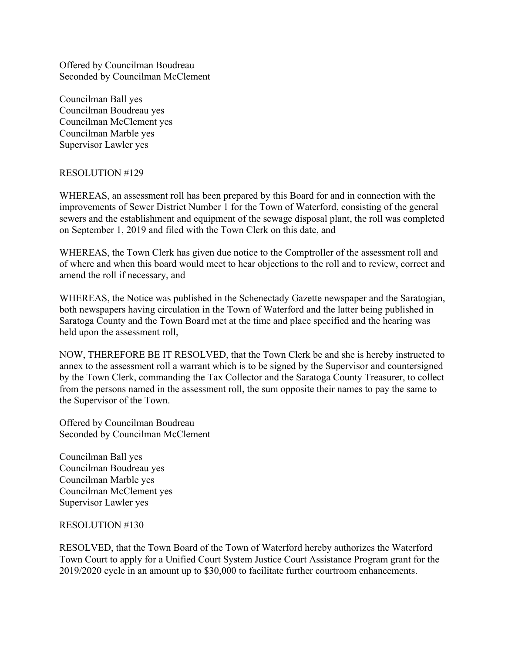Offered by Councilman Boudreau Seconded by Councilman McClement

Councilman Ball yes Councilman Boudreau yes Councilman McClement yes Councilman Marble yes Supervisor Lawler yes

## RESOLUTION #129

WHEREAS, an assessment roll has been prepared by this Board for and in connection with the improvements of Sewer District Number 1 for the Town of Waterford, consisting of the general sewers and the establishment and equipment of the sewage disposal plant, the roll was completed on September 1, 2019 and filed with the Town Clerk on this date, and

WHEREAS, the Town Clerk has given due notice to the Comptroller of the assessment roll and of where and when this board would meet to hear objections to the roll and to review, correct and amend the roll if necessary, and

WHEREAS, the Notice was published in the Schenectady Gazette newspaper and the Saratogian, both newspapers having circulation in the Town of Waterford and the latter being published in Saratoga County and the Town Board met at the time and place specified and the hearing was held upon the assessment roll,

NOW, THEREFORE BE IT RESOLVED, that the Town Clerk be and she is hereby instructed to annex to the assessment roll a warrant which is to be signed by the Supervisor and countersigned by the Town Clerk, commanding the Tax Collector and the Saratoga County Treasurer, to collect from the persons named in the assessment roll, the sum opposite their names to pay the same to the Supervisor of the Town.

Offered by Councilman Boudreau Seconded by Councilman McClement

Councilman Ball yes Councilman Boudreau yes Councilman Marble yes Councilman McClement yes Supervisor Lawler yes

## RESOLUTION #130

RESOLVED, that the Town Board of the Town of Waterford hereby authorizes the Waterford Town Court to apply for a Unified Court System Justice Court Assistance Program grant for the 2019/2020 cycle in an amount up to \$30,000 to facilitate further courtroom enhancements.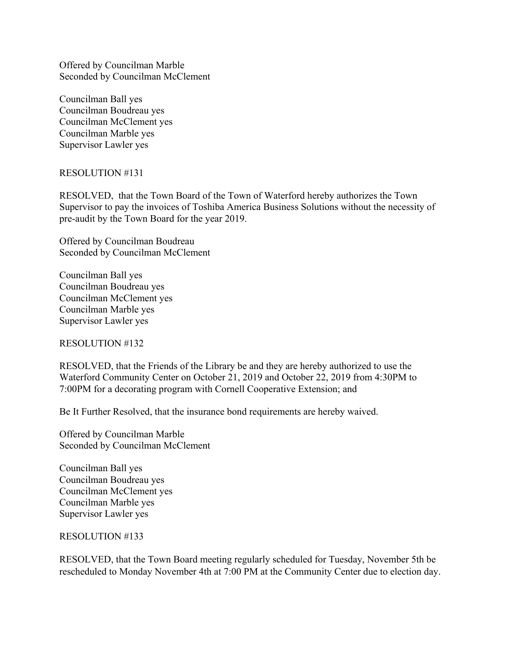Offered by Councilman Marble Seconded by Councilman McClement

Councilman Ball yes Councilman Boudreau yes Councilman McClement yes Councilman Marble yes Supervisor Lawler yes

#### RESOLUTION #131

RESOLVED, that the Town Board of the Town of Waterford hereby authorizes the Town Supervisor to pay the invoices of Toshiba America Business Solutions without the necessity of pre-audit by the Town Board for the year 2019.

Offered by Councilman Boudreau Seconded by Councilman McClement

Councilman Ball yes Councilman Boudreau yes Councilman McClement yes Councilman Marble yes Supervisor Lawler yes

RESOLUTION #132

RESOLVED, that the Friends of the Library be and they are hereby authorized to use the Waterford Community Center on October 21, 2019 and October 22, 2019 from 4:30PM to 7:00PM for a decorating program with Cornell Cooperative Extension; and

Be It Further Resolved, that the insurance bond requirements are hereby waived.

Offered by Councilman Marble Seconded by Councilman McClement

Councilman Ball yes Councilman Boudreau yes Councilman McClement yes Councilman Marble yes Supervisor Lawler yes

#### RESOLUTION #133

RESOLVED, that the Town Board meeting regularly scheduled for Tuesday, November 5th be rescheduled to Monday November 4th at 7:00 PM at the Community Center due to election day.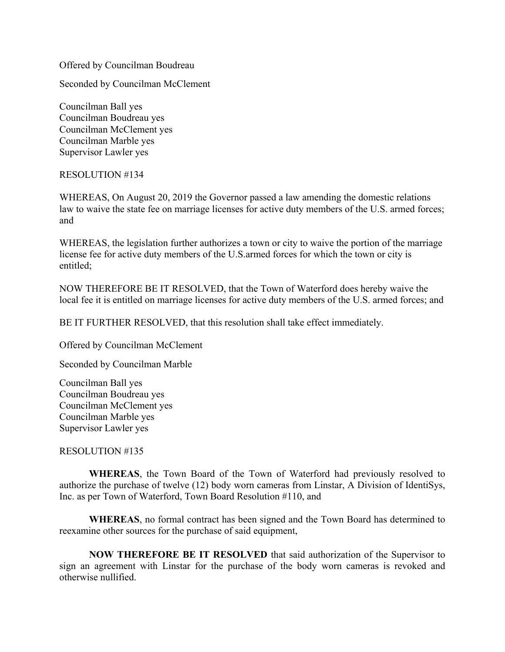Offered by Councilman Boudreau

Seconded by Councilman McClement

Councilman Ball yes Councilman Boudreau yes Councilman McClement yes Councilman Marble yes Supervisor Lawler yes

#### RESOLUTION #134

WHEREAS, On August 20, 2019 the Governor passed a law amending the domestic relations law to waive the state fee on marriage licenses for active duty members of the U.S. armed forces; and

WHEREAS, the legislation further authorizes a town or city to waive the portion of the marriage license fee for active duty members of the U.S.armed forces for which the town or city is entitled;

NOW THEREFORE BE IT RESOLVED, that the Town of Waterford does hereby waive the local fee it is entitled on marriage licenses for active duty members of the U.S. armed forces; and

BE IT FURTHER RESOLVED, that this resolution shall take effect immediately.

Offered by Councilman McClement

Seconded by Councilman Marble

Councilman Ball yes Councilman Boudreau yes Councilman McClement yes Councilman Marble yes Supervisor Lawler yes

## RESOLUTION #135

 **WHEREAS**, the Town Board of the Town of Waterford had previously resolved to authorize the purchase of twelve (12) body worn cameras from Linstar, A Division of IdentiSys, Inc. as per Town of Waterford, Town Board Resolution #110, and

**WHEREAS**, no formal contract has been signed and the Town Board has determined to reexamine other sources for the purchase of said equipment,

**NOW THEREFORE BE IT RESOLVED** that said authorization of the Supervisor to sign an agreement with Linstar for the purchase of the body worn cameras is revoked and otherwise nullified.